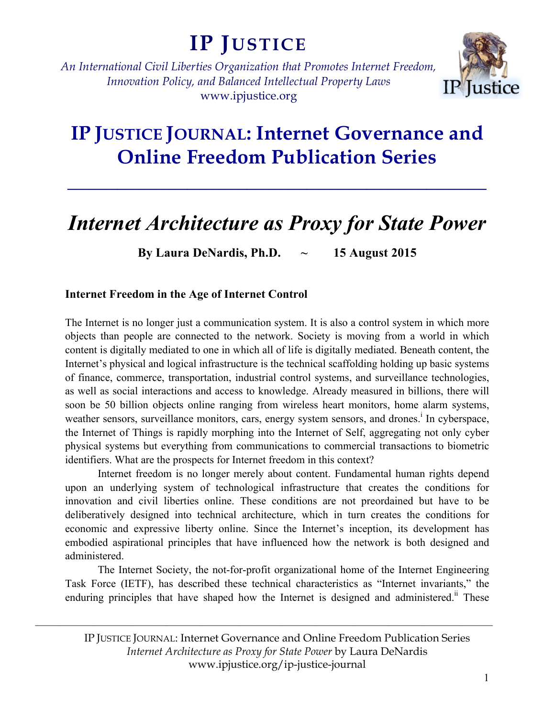# **IP JUSTICE**

*An International Civil Liberties Organization that Promotes Internet Freedom, Innovation Policy, and Balanced Intellectual Property Laws* www.ipjustice.org



## **IP JUSTICE JOURNAL: Internet Governance and Online Freedom Publication Series**

**\_\_\_\_\_\_\_\_\_\_\_\_\_\_\_\_\_\_\_\_\_\_\_\_\_\_\_\_\_\_\_\_\_\_\_\_\_\_\_\_\_\_**

## *Internet Architecture as Proxy for State Power*

**By Laura DeNardis, Ph.D. ~ 15 August 2015**

### **Internet Freedom in the Age of Internet Control**

The Internet is no longer just a communication system. It is also a control system in which more objects than people are connected to the network. Society is moving from a world in which content is digitally mediated to one in which all of life is digitally mediated. Beneath content, the Internet's physical and logical infrastructure is the technical scaffolding holding up basic systems of finance, commerce, transportation, industrial control systems, and surveillance technologies, as well as social interactions and access to knowledge. Already measured in billions, there will soon be 50 billion objects online ranging from wireless heart monitors, home alarm systems, weather sensors, surveillance monitors, cars, energy system sensors, and drones.<sup>i</sup> In cyberspace, the Internet of Things is rapidly morphing into the Internet of Self, aggregating not only cyber physical systems but everything from communications to commercial transactions to biometric identifiers. What are the prospects for Internet freedom in this context?

Internet freedom is no longer merely about content. Fundamental human rights depend upon an underlying system of technological infrastructure that creates the conditions for innovation and civil liberties online. These conditions are not preordained but have to be deliberatively designed into technical architecture, which in turn creates the conditions for economic and expressive liberty online. Since the Internet's inception, its development has embodied aspirational principles that have influenced how the network is both designed and administered.

The Internet Society, the not-for-profit organizational home of the Internet Engineering Task Force (IETF), has described these technical characteristics as "Internet invariants," the enduring principles that have shaped how the Internet is designed and administered.<sup>ii</sup> These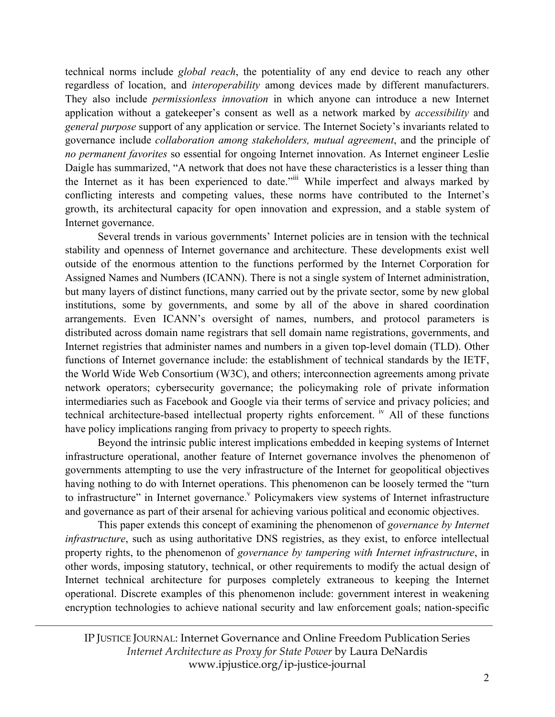technical norms include *global reach*, the potentiality of any end device to reach any other regardless of location, and *interoperability* among devices made by different manufacturers. They also include *permissionless innovation* in which anyone can introduce a new Internet application without a gatekeeper's consent as well as a network marked by *accessibility* and *general purpose* support of any application or service. The Internet Society's invariants related to governance include *collaboration among stakeholders, mutual agreement*, and the principle of *no permanent favorites* so essential for ongoing Internet innovation. As Internet engineer Leslie Daigle has summarized, "A network that does not have these characteristics is a lesser thing than the Internet as it has been experienced to date."iii While imperfect and always marked by conflicting interests and competing values, these norms have contributed to the Internet's growth, its architectural capacity for open innovation and expression, and a stable system of Internet governance.

Several trends in various governments' Internet policies are in tension with the technical stability and openness of Internet governance and architecture. These developments exist well outside of the enormous attention to the functions performed by the Internet Corporation for Assigned Names and Numbers (ICANN). There is not a single system of Internet administration, but many layers of distinct functions, many carried out by the private sector, some by new global institutions, some by governments, and some by all of the above in shared coordination arrangements. Even ICANN's oversight of names, numbers, and protocol parameters is distributed across domain name registrars that sell domain name registrations, governments, and Internet registries that administer names and numbers in a given top-level domain (TLD). Other functions of Internet governance include: the establishment of technical standards by the IETF, the World Wide Web Consortium (W3C), and others; interconnection agreements among private network operators; cybersecurity governance; the policymaking role of private information intermediaries such as Facebook and Google via their terms of service and privacy policies; and technical architecture-based intellectual property rights enforcement. <sup>iv</sup> All of these functions have policy implications ranging from privacy to property to speech rights.

Beyond the intrinsic public interest implications embedded in keeping systems of Internet infrastructure operational, another feature of Internet governance involves the phenomenon of governments attempting to use the very infrastructure of the Internet for geopolitical objectives having nothing to do with Internet operations. This phenomenon can be loosely termed the "turn to infrastructure" in Internet governance.<sup>V</sup> Policymakers view systems of Internet infrastructure and governance as part of their arsenal for achieving various political and economic objectives.

This paper extends this concept of examining the phenomenon of *governance by Internet infrastructure*, such as using authoritative DNS registries, as they exist, to enforce intellectual property rights, to the phenomenon of *governance by tampering with Internet infrastructure*, in other words, imposing statutory, technical, or other requirements to modify the actual design of Internet technical architecture for purposes completely extraneous to keeping the Internet operational. Discrete examples of this phenomenon include: government interest in weakening encryption technologies to achieve national security and law enforcement goals; nation-specific

IP JUSTICE JOURNAL: Internet Governance and Online Freedom Publication Series *Internet Architecture as Proxy for State Power* by Laura DeNardis www.ipjustice.org/ip-justice-journal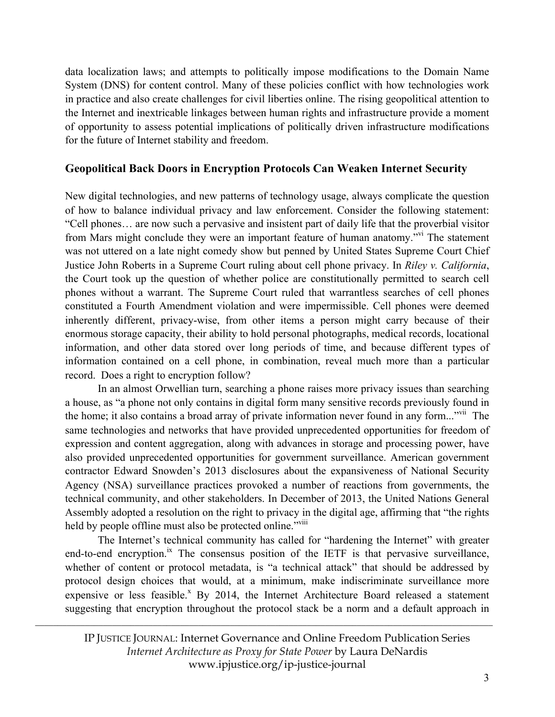data localization laws; and attempts to politically impose modifications to the Domain Name System (DNS) for content control. Many of these policies conflict with how technologies work in practice and also create challenges for civil liberties online. The rising geopolitical attention to the Internet and inextricable linkages between human rights and infrastructure provide a moment of opportunity to assess potential implications of politically driven infrastructure modifications for the future of Internet stability and freedom.

### **Geopolitical Back Doors in Encryption Protocols Can Weaken Internet Security**

New digital technologies, and new patterns of technology usage, always complicate the question of how to balance individual privacy and law enforcement. Consider the following statement: "Cell phones… are now such a pervasive and insistent part of daily life that the proverbial visitor from Mars might conclude they were an important feature of human anatomy."vi The statement was not uttered on a late night comedy show but penned by United States Supreme Court Chief Justice John Roberts in a Supreme Court ruling about cell phone privacy. In *Riley v. California*, the Court took up the question of whether police are constitutionally permitted to search cell phones without a warrant. The Supreme Court ruled that warrantless searches of cell phones constituted a Fourth Amendment violation and were impermissible. Cell phones were deemed inherently different, privacy-wise, from other items a person might carry because of their enormous storage capacity, their ability to hold personal photographs, medical records, locational information, and other data stored over long periods of time, and because different types of information contained on a cell phone, in combination, reveal much more than a particular record. Does a right to encryption follow?

In an almost Orwellian turn, searching a phone raises more privacy issues than searching a house, as "a phone not only contains in digital form many sensitive records previously found in the home; it also contains a broad array of private information never found in any form..."vii The same technologies and networks that have provided unprecedented opportunities for freedom of expression and content aggregation, along with advances in storage and processing power, have also provided unprecedented opportunities for government surveillance. American government contractor Edward Snowden's 2013 disclosures about the expansiveness of National Security Agency (NSA) surveillance practices provoked a number of reactions from governments, the technical community, and other stakeholders. In December of 2013, the United Nations General Assembly adopted a resolution on the right to privacy in the digital age, affirming that "the rights held by people offline must also be protected online."<sup>viii</sup>

The Internet's technical community has called for "hardening the Internet" with greater end-to-end encryption.<sup>ix</sup> The consensus position of the IETF is that pervasive surveillance, whether of content or protocol metadata, is "a technical attack" that should be addressed by protocol design choices that would, at a minimum, make indiscriminate surveillance more expensive or less feasible.<sup>x</sup> By 2014, the Internet Architecture Board released a statement suggesting that encryption throughout the protocol stack be a norm and a default approach in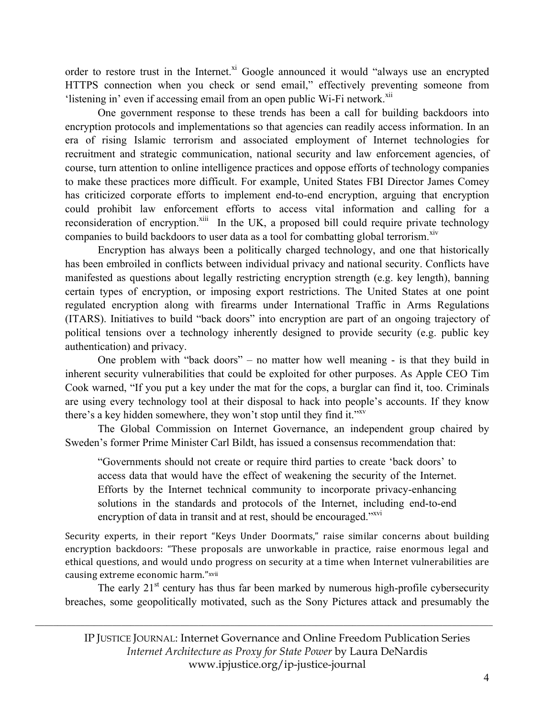order to restore trust in the Internet.<sup>xi</sup> Google announced it would "always use an encrypted HTTPS connection when you check or send email," effectively preventing someone from 'listening in' even if accessing email from an open public Wi-Fi network.<sup>xii</sup>

One government response to these trends has been a call for building backdoors into encryption protocols and implementations so that agencies can readily access information. In an era of rising Islamic terrorism and associated employment of Internet technologies for recruitment and strategic communication, national security and law enforcement agencies, of course, turn attention to online intelligence practices and oppose efforts of technology companies to make these practices more difficult. For example, United States FBI Director James Comey has criticized corporate efforts to implement end-to-end encryption, arguing that encryption could prohibit law enforcement efforts to access vital information and calling for a reconsideration of encryption.<sup>xiii</sup> In the UK, a proposed bill could require private technology companies to build backdoors to user data as a tool for combatting global terrorism.<sup>xiv</sup>

Encryption has always been a politically charged technology, and one that historically has been embroiled in conflicts between individual privacy and national security. Conflicts have manifested as questions about legally restricting encryption strength (e.g. key length), banning certain types of encryption, or imposing export restrictions. The United States at one point regulated encryption along with firearms under International Traffic in Arms Regulations (ITARS). Initiatives to build "back doors" into encryption are part of an ongoing trajectory of political tensions over a technology inherently designed to provide security (e.g. public key authentication) and privacy.

One problem with "back doors" – no matter how well meaning - is that they build in inherent security vulnerabilities that could be exploited for other purposes. As Apple CEO Tim Cook warned, "If you put a key under the mat for the cops, a burglar can find it, too. Criminals are using every technology tool at their disposal to hack into people's accounts. If they know there's a key hidden somewhere, they won't stop until they find it."<sup>xv</sup>

The Global Commission on Internet Governance, an independent group chaired by Sweden's former Prime Minister Carl Bildt, has issued a consensus recommendation that:

"Governments should not create or require third parties to create 'back doors' to access data that would have the effect of weakening the security of the Internet. Efforts by the Internet technical community to incorporate privacy-enhancing solutions in the standards and protocols of the Internet, including end-to-end encryption of data in transit and at rest, should be encouraged."<sup>xvi</sup>

Security experts, in their report "Keys Under Doormats," raise similar concerns about building encryption backdoors: "These proposals are unworkable in practice, raise enormous legal and ethical questions, and would undo progress on security at a time when Internet vulnerabilities are causing extreme economic harm."xvii

The early  $21<sup>st</sup>$  century has thus far been marked by numerous high-profile cybersecurity breaches, some geopolitically motivated, such as the Sony Pictures attack and presumably the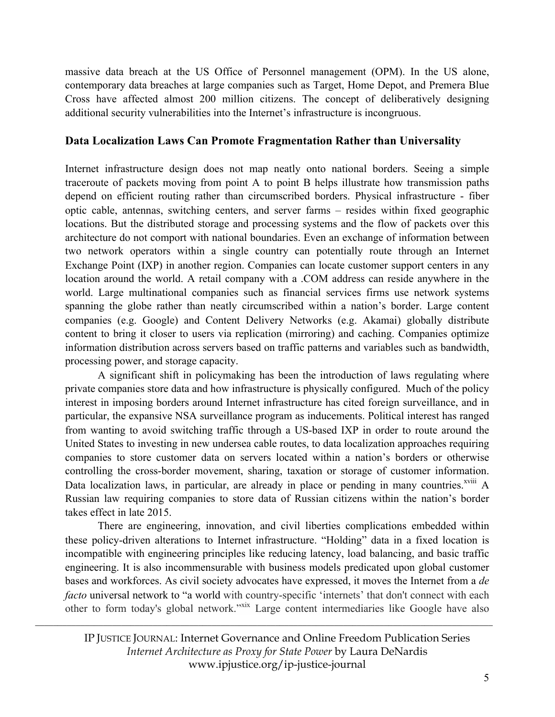massive data breach at the US Office of Personnel management (OPM). In the US alone, contemporary data breaches at large companies such as Target, Home Depot, and Premera Blue Cross have affected almost 200 million citizens. The concept of deliberatively designing additional security vulnerabilities into the Internet's infrastructure is incongruous.

#### **Data Localization Laws Can Promote Fragmentation Rather than Universality**

Internet infrastructure design does not map neatly onto national borders. Seeing a simple traceroute of packets moving from point A to point B helps illustrate how transmission paths depend on efficient routing rather than circumscribed borders. Physical infrastructure - fiber optic cable, antennas, switching centers, and server farms – resides within fixed geographic locations. But the distributed storage and processing systems and the flow of packets over this architecture do not comport with national boundaries. Even an exchange of information between two network operators within a single country can potentially route through an Internet Exchange Point (IXP) in another region. Companies can locate customer support centers in any location around the world. A retail company with a .COM address can reside anywhere in the world. Large multinational companies such as financial services firms use network systems spanning the globe rather than neatly circumscribed within a nation's border. Large content companies (e.g. Google) and Content Delivery Networks (e.g. Akamai) globally distribute content to bring it closer to users via replication (mirroring) and caching. Companies optimize information distribution across servers based on traffic patterns and variables such as bandwidth, processing power, and storage capacity.

A significant shift in policymaking has been the introduction of laws regulating where private companies store data and how infrastructure is physically configured. Much of the policy interest in imposing borders around Internet infrastructure has cited foreign surveillance, and in particular, the expansive NSA surveillance program as inducements. Political interest has ranged from wanting to avoid switching traffic through a US-based IXP in order to route around the United States to investing in new undersea cable routes, to data localization approaches requiring companies to store customer data on servers located within a nation's borders or otherwise controlling the cross-border movement, sharing, taxation or storage of customer information. Data localization laws, in particular, are already in place or pending in many countries.<sup> $xviii$ </sup> A Russian law requiring companies to store data of Russian citizens within the nation's border takes effect in late 2015.

There are engineering, innovation, and civil liberties complications embedded within these policy-driven alterations to Internet infrastructure. "Holding" data in a fixed location is incompatible with engineering principles like reducing latency, load balancing, and basic traffic engineering. It is also incommensurable with business models predicated upon global customer bases and workforces. As civil society advocates have expressed, it moves the Internet from a *de facto* universal network to "a world with country-specific 'internets' that don't connect with each other to form today's global network."<sup>xix</sup> Large content intermediaries like Google have also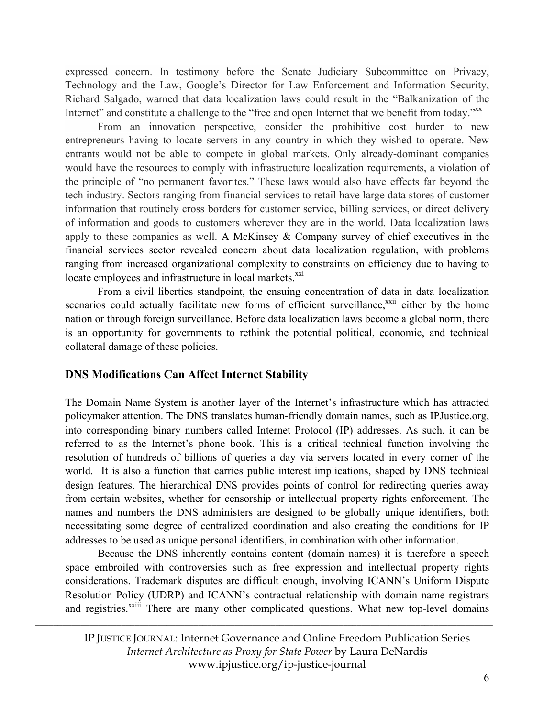expressed concern. In testimony before the Senate Judiciary Subcommittee on Privacy, Technology and the Law, Google's Director for Law Enforcement and Information Security, Richard Salgado, warned that data localization laws could result in the "Balkanization of the Internet" and constitute a challenge to the "free and open Internet that we benefit from today." XX

From an innovation perspective, consider the prohibitive cost burden to new entrepreneurs having to locate servers in any country in which they wished to operate. New entrants would not be able to compete in global markets. Only already-dominant companies would have the resources to comply with infrastructure localization requirements, a violation of the principle of "no permanent favorites." These laws would also have effects far beyond the tech industry. Sectors ranging from financial services to retail have large data stores of customer information that routinely cross borders for customer service, billing services, or direct delivery of information and goods to customers wherever they are in the world. Data localization laws apply to these companies as well. A McKinsey & Company survey of chief executives in the financial services sector revealed concern about data localization regulation, with problems ranging from increased organizational complexity to constraints on efficiency due to having to locate employees and infrastructure in local markets.<sup>xxi</sup>

From a civil liberties standpoint, the ensuing concentration of data in data localization scenarios could actually facilitate new forms of efficient surveillance,<sup>xxii</sup> either by the home nation or through foreign surveillance. Before data localization laws become a global norm, there is an opportunity for governments to rethink the potential political, economic, and technical collateral damage of these policies.

#### **DNS Modifications Can Affect Internet Stability**

The Domain Name System is another layer of the Internet's infrastructure which has attracted policymaker attention. The DNS translates human-friendly domain names, such as IPJustice.org, into corresponding binary numbers called Internet Protocol (IP) addresses. As such, it can be referred to as the Internet's phone book. This is a critical technical function involving the resolution of hundreds of billions of queries a day via servers located in every corner of the world. It is also a function that carries public interest implications, shaped by DNS technical design features. The hierarchical DNS provides points of control for redirecting queries away from certain websites, whether for censorship or intellectual property rights enforcement. The names and numbers the DNS administers are designed to be globally unique identifiers, both necessitating some degree of centralized coordination and also creating the conditions for IP addresses to be used as unique personal identifiers, in combination with other information.

Because the DNS inherently contains content (domain names) it is therefore a speech space embroiled with controversies such as free expression and intellectual property rights considerations. Trademark disputes are difficult enough, involving ICANN's Uniform Dispute Resolution Policy (UDRP) and ICANN's contractual relationship with domain name registrars and registries.<sup>xxiii</sup> There are many other complicated questions. What new top-level domains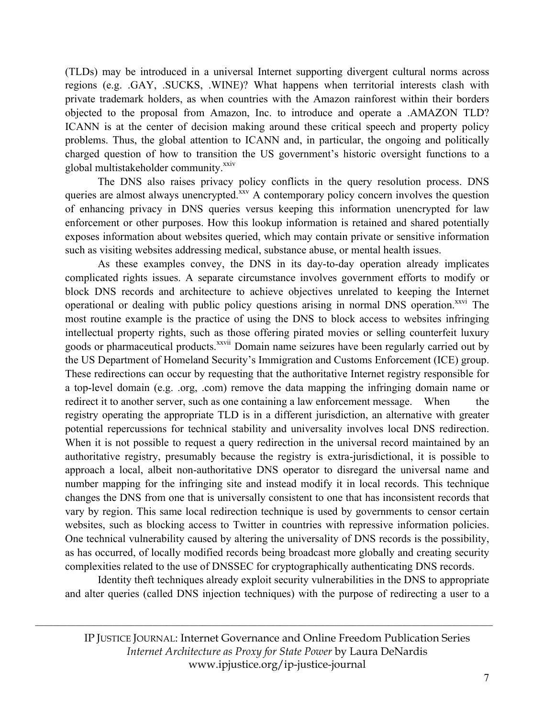(TLDs) may be introduced in a universal Internet supporting divergent cultural norms across regions (e.g. .GAY, .SUCKS, .WINE)? What happens when territorial interests clash with private trademark holders, as when countries with the Amazon rainforest within their borders objected to the proposal from Amazon, Inc. to introduce and operate a .AMAZON TLD? ICANN is at the center of decision making around these critical speech and property policy problems. Thus, the global attention to ICANN and, in particular, the ongoing and politically charged question of how to transition the US government's historic oversight functions to a global multistakeholder community.<sup>xxiv</sup>

The DNS also raises privacy policy conflicts in the query resolution process. DNS queries are almost always unencrypted.<sup>xxv</sup> A contemporary policy concern involves the question of enhancing privacy in DNS queries versus keeping this information unencrypted for law enforcement or other purposes. How this lookup information is retained and shared potentially exposes information about websites queried, which may contain private or sensitive information such as visiting websites addressing medical, substance abuse, or mental health issues.

As these examples convey, the DNS in its day-to-day operation already implicates complicated rights issues. A separate circumstance involves government efforts to modify or block DNS records and architecture to achieve objectives unrelated to keeping the Internet operational or dealing with public policy questions arising in normal DNS operation.<sup>xxvi</sup> The most routine example is the practice of using the DNS to block access to websites infringing intellectual property rights, such as those offering pirated movies or selling counterfeit luxury goods or pharmaceutical products.<sup>xxvii</sup> Domain name seizures have been regularly carried out by the US Department of Homeland Security's Immigration and Customs Enforcement (ICE) group. These redirections can occur by requesting that the authoritative Internet registry responsible for a top-level domain (e.g. .org, .com) remove the data mapping the infringing domain name or redirect it to another server, such as one containing a law enforcement message. When the registry operating the appropriate TLD is in a different jurisdiction, an alternative with greater potential repercussions for technical stability and universality involves local DNS redirection. When it is not possible to request a query redirection in the universal record maintained by an authoritative registry, presumably because the registry is extra-jurisdictional, it is possible to approach a local, albeit non-authoritative DNS operator to disregard the universal name and number mapping for the infringing site and instead modify it in local records. This technique changes the DNS from one that is universally consistent to one that has inconsistent records that vary by region. This same local redirection technique is used by governments to censor certain websites, such as blocking access to Twitter in countries with repressive information policies. One technical vulnerability caused by altering the universality of DNS records is the possibility, as has occurred, of locally modified records being broadcast more globally and creating security complexities related to the use of DNSSEC for cryptographically authenticating DNS records.

Identity theft techniques already exploit security vulnerabilities in the DNS to appropriate and alter queries (called DNS injection techniques) with the purpose of redirecting a user to a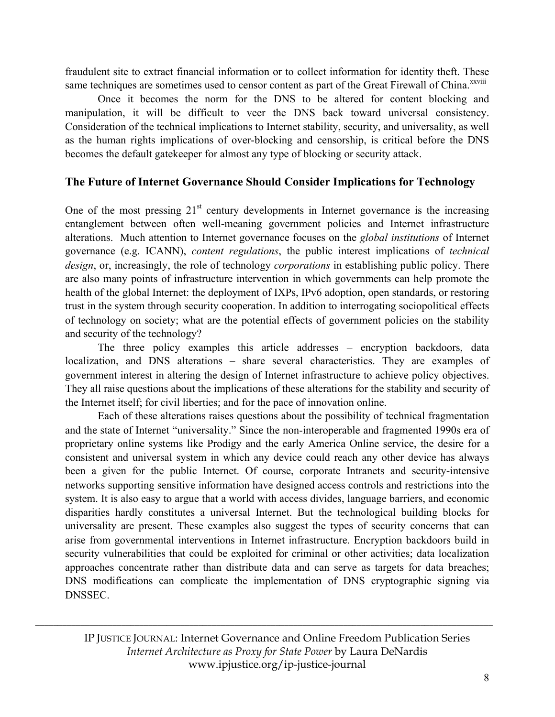fraudulent site to extract financial information or to collect information for identity theft. These same techniques are sometimes used to censor content as part of the Great Firewall of China.<sup>xxviii</sup>

Once it becomes the norm for the DNS to be altered for content blocking and manipulation, it will be difficult to veer the DNS back toward universal consistency. Consideration of the technical implications to Internet stability, security, and universality, as well as the human rights implications of over-blocking and censorship, is critical before the DNS becomes the default gatekeeper for almost any type of blocking or security attack.

#### **The Future of Internet Governance Should Consider Implications for Technology**

One of the most pressing  $21<sup>st</sup>$  century developments in Internet governance is the increasing entanglement between often well-meaning government policies and Internet infrastructure alterations. Much attention to Internet governance focuses on the *global institutions* of Internet governance (e.g. ICANN), *content regulations*, the public interest implications of *technical design*, or, increasingly, the role of technology *corporations* in establishing public policy. There are also many points of infrastructure intervention in which governments can help promote the health of the global Internet: the deployment of IXPs, IPv6 adoption, open standards, or restoring trust in the system through security cooperation. In addition to interrogating sociopolitical effects of technology on society; what are the potential effects of government policies on the stability and security of the technology?

The three policy examples this article addresses – encryption backdoors, data localization, and DNS alterations – share several characteristics. They are examples of government interest in altering the design of Internet infrastructure to achieve policy objectives. They all raise questions about the implications of these alterations for the stability and security of the Internet itself; for civil liberties; and for the pace of innovation online.

Each of these alterations raises questions about the possibility of technical fragmentation and the state of Internet "universality." Since the non-interoperable and fragmented 1990s era of proprietary online systems like Prodigy and the early America Online service, the desire for a consistent and universal system in which any device could reach any other device has always been a given for the public Internet. Of course, corporate Intranets and security-intensive networks supporting sensitive information have designed access controls and restrictions into the system. It is also easy to argue that a world with access divides, language barriers, and economic disparities hardly constitutes a universal Internet. But the technological building blocks for universality are present. These examples also suggest the types of security concerns that can arise from governmental interventions in Internet infrastructure. Encryption backdoors build in security vulnerabilities that could be exploited for criminal or other activities; data localization approaches concentrate rather than distribute data and can serve as targets for data breaches; DNS modifications can complicate the implementation of DNS cryptographic signing via DNSSEC.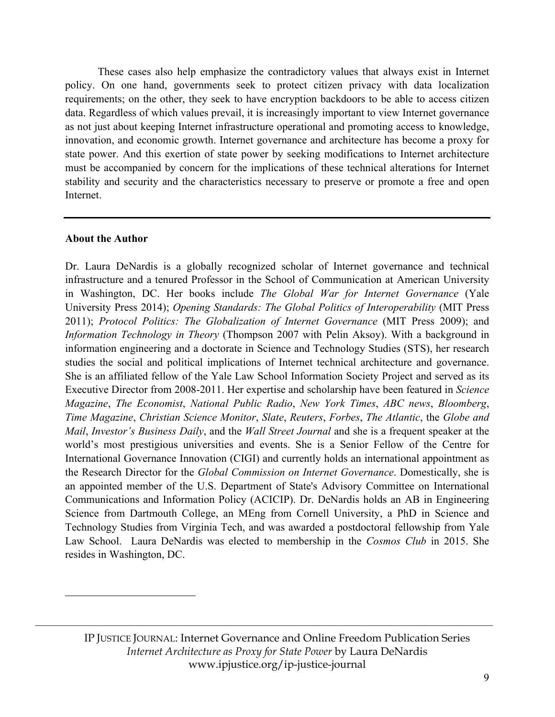These cases also help emphasize the contradictory values that always exist in Internet policy. On one hand, governments seek to protect citizen privacy with data localization requirements; on the other, they seek to have encryption backdoors to be able to access citizen data. Regardless of which values prevail, it is increasingly important to view Internet governance as not just about keeping Internet infrastructure operational and promoting access to knowledge, innovation, and economic growth. Internet governance and architecture has become a proxy for state power. And this exertion of state power by seeking modifications to Internet architecture must be accompanied by concern for the implications of these technical alterations for Internet stability and security and the characteristics necessary to preserve or promote a free and open Internet.

#### **About the Author**

 $\overline{a}$ 

Dr. Laura DeNardis is a globally recognized scholar of Internet governance and technical infrastructure and a tenured Professor in the School of Communication at American University in Washington, DC. Her books include *The Global War for Internet Governance* (Yale University Press 2014); *Opening Standards: The Global Politics of Interoperability* (MIT Press 2011); *Protocol Politics: The Globalization of Internet Governance* (MIT Press 2009); and *Information Technology in Theory* (Thompson 2007 with Pelin Aksoy). With a background in information engineering and a doctorate in Science and Technology Studies (STS), her research studies the social and political implications of Internet technical architecture and governance. She is an affiliated fellow of the Yale Law School Information Society Project and served as its Executive Director from 2008-2011. Her expertise and scholarship have been featured in *Science Magazine*, *The Economist*, *National Public Radio*, *New York Times*, *ABC news*, *Bloomberg*, *Time Magazine*, *Christian Science Monitor*, *Slate*, *Reuters*, *Forbes*, *The Atlantic*, the *Globe and Mail*, *Investor's Business Daily*, and the *Wall Street Journal* and she is a frequent speaker at the world's most prestigious universities and events. She is a Senior Fellow of the Centre for International Governance Innovation (CIGI) and currently holds an international appointment as the Research Director for the *Global Commission on Internet Governance*. Domestically, she is an appointed member of the U.S. Department of State's Advisory Committee on International Communications and Information Policy (ACICIP). Dr. DeNardis holds an AB in Engineering Science from Dartmouth College, an MEng from Cornell University, a PhD in Science and Technology Studies from Virginia Tech, and was awarded a postdoctoral fellowship from Yale Law School. Laura DeNardis was elected to membership in the *Cosmos Club* in 2015. She resides in Washington, DC.

IP JUSTICE JOURNAL: Internet Governance and Online Freedom Publication Series *Internet Architecture as Proxy for State Power* by Laura DeNardis www.ipjustice.org/ip-justice-journal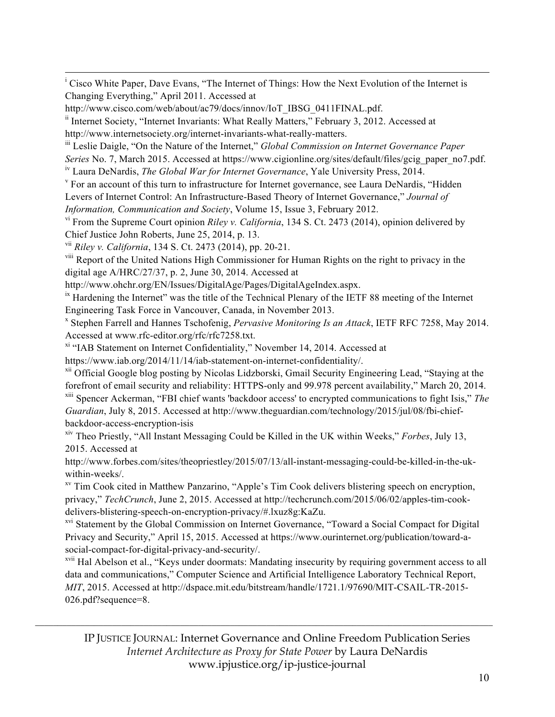|<br>i <sup>i</sup> Cisco White Paper, Dave Evans, "The Internet of Things: How the Next Evolution of the Internet is Changing Everything," April 2011. Accessed at

<sup>ii</sup> Internet Society, "Internet Invariants: What Really Matters," February 3, 2012. Accessed at http://www.internetsociety.org/internet-invariants-what-really-matters.

iii Leslie Daigle, "On the Nature of the Internet," *Global Commission on Internet Governance Paper* 

*Series* No. 7, March 2015. Accessed at https://www.cigionline.org/sites/default/files/gcig\_paper\_no7.pdf.

iv Laura DeNardis, *The Global War for Internet Governance*, Yale University Press, 2014.

<sup>v</sup> For an account of this turn to infrastructure for Internet governance, see Laura DeNardis, "Hidden Levers of Internet Control: An Infrastructure-Based Theory of Internet Governance," *Journal of Information, Communication and Society*, Volume 15, Issue 3, February 2012.

vi From the Supreme Court opinion *Riley v. California*, 134 S. Ct. 2473 (2014), opinion delivered by Chief Justice John Roberts, June 25, 2014, p. 13.

vii *Riley v. California*, 134 S. Ct. 2473 (2014), pp. 20-21.

viii Report of the United Nations High Commissioner for Human Rights on the right to privacy in the digital age A/HRC/27/37, p. 2, June 30, 2014. Accessed at

http://www.ohchr.org/EN/Issues/DigitalAge/Pages/DigitalAgeIndex.aspx.

<sup>ix</sup> Hardening the Internet" was the title of the Technical Plenary of the IETF 88 meeting of the Internet Engineering Task Force in Vancouver, Canada, in November 2013.

<sup>x</sup> Stephen Farrell and Hannes Tschofenig, *Pervasive Monitoring Is an Attack*, IETF RFC 7258, May 2014. Accessed at www.rfc-editor.org/rfc/rfc7258.txt.

<sup>xi</sup> "IAB Statement on Internet Confidentiality," November 14, 2014. Accessed at

https://www.iab.org/2014/11/14/iab-statement-on-internet-confidentiality/.

<sup>xii</sup> Official Google blog posting by Nicolas Lidzborski, Gmail Security Engineering Lead, "Staying at the forefront of email security and reliability: HTTPS-only and 99.978 percent availability," March 20, 2014. xiii Spencer Ackerman, "FBI chief wants 'backdoor access' to encrypted communications to fight Isis," *The Guardian*, July 8, 2015. Accessed at http://www.theguardian.com/technology/2015/jul/08/fbi-chiefbackdoor-access-encryption-isis

xiv Theo Priestly, "All Instant Messaging Could be Killed in the UK within Weeks," *Forbes*, July 13, 2015. Accessed at

http://www.forbes.com/sites/theopriestley/2015/07/13/all-instant-messaging-could-be-killed-in-the-ukwithin-weeks/.

<sup>xv</sup> Tim Cook cited in Matthew Panzarino, "Apple's Tim Cook delivers blistering speech on encryption, privacy," *TechCrunch*, June 2, 2015. Accessed at http://techcrunch.com/2015/06/02/apples-tim-cookdelivers-blistering-speech-on-encryption-privacy/#.lxuz8g:KaZu.

<sup>xvi</sup> Statement by the Global Commission on Internet Governance, "Toward a Social Compact for Digital Privacy and Security," April 15, 2015. Accessed at https://www.ourinternet.org/publication/toward-asocial-compact-for-digital-privacy-and-security/.

<sup>xvii</sup> Hal Abelson et al., "Keys under doormats: Mandating insecurity by requiring government access to all data and communications," Computer Science and Artificial Intelligence Laboratory Technical Report, *MIT*, 2015. Accessed at http://dspace.mit.edu/bitstream/handle/1721.1/97690/MIT-CSAIL-TR-2015- 026.pdf?sequence=8.

IP JUSTICE JOURNAL: Internet Governance and Online Freedom Publication Series *Internet Architecture as Proxy for State Power* by Laura DeNardis www.ipjustice.org/ip-justice-journal

http://www.cisco.com/web/about/ac79/docs/innov/IoT\_IBSG\_0411FINAL.pdf.